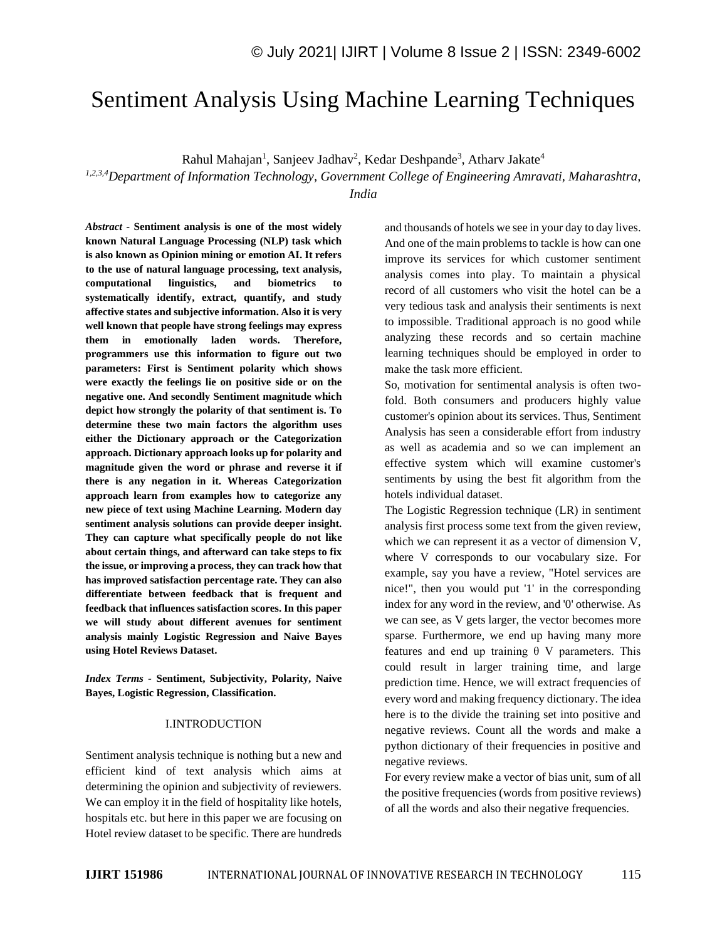# Sentiment Analysis Using Machine Learning Techniques

Rahul Mahajan<sup>1</sup>, Sanjeev Jadhav<sup>2</sup>, Kedar Deshpande<sup>3</sup>, Atharv Jakate<sup>4</sup>

*1,2,3,4Department of Information Technology, Government College of Engineering Amravati, Maharashtra, India*

*Abstract -* **Sentiment analysis is one of the most widely known Natural Language Processing (NLP) task which is also known as Opinion mining or emotion AI. It refers to the use of natural language processing, text analysis, computational linguistics, and biometrics to systematically identify, extract, quantify, and study affective states and subjective information. Also it is very well known that people have strong feelings may express them in emotionally laden words. Therefore, programmers use this information to figure out two parameters: First is Sentiment polarity which shows were exactly the feelings lie on positive side or on the negative one. And secondly Sentiment magnitude which depict how strongly the polarity of that sentiment is. To determine these two main factors the algorithm uses either the Dictionary approach or the Categorization approach. Dictionary approach looks up for polarity and magnitude given the word or phrase and reverse it if there is any negation in it. Whereas Categorization approach learn from examples how to categorize any new piece of text using Machine Learning. Modern day sentiment analysis solutions can provide deeper insight. They can capture what specifically people do not like about certain things, and afterward can take steps to fix the issue, or improving a process, they can track how that has improved satisfaction percentage rate. They can also differentiate between feedback that is frequent and feedback that influences satisfaction scores. In this paper we will study about different avenues for sentiment analysis mainly Logistic Regression and Naive Bayes using Hotel Reviews Dataset.**

*Index Terms -* **Sentiment, Subjectivity, Polarity, Naive Bayes, Logistic Regression, Classification.**

#### I.INTRODUCTION

Sentiment analysis technique is nothing but a new and efficient kind of text analysis which aims at determining the opinion and subjectivity of reviewers. We can employ it in the field of hospitality like hotels, hospitals etc. but here in this paper we are focusing on Hotel review dataset to be specific. There are hundreds and thousands of hotels we see in your day to day lives. And one of the main problems to tackle is how can one improve its services for which customer sentiment analysis comes into play. To maintain a physical record of all customers who visit the hotel can be a very tedious task and analysis their sentiments is next to impossible. Traditional approach is no good while analyzing these records and so certain machine learning techniques should be employed in order to make the task more efficient.

So, motivation for sentimental analysis is often twofold. Both consumers and producers highly value customer's opinion about its services. Thus, Sentiment Analysis has seen a considerable effort from industry as well as academia and so we can implement an effective system which will examine customer's sentiments by using the best fit algorithm from the hotels individual dataset.

The Logistic Regression technique (LR) in sentiment analysis first process some text from the given review, which we can represent it as a vector of dimension V, where V corresponds to our vocabulary size. For example, say you have a review, "Hotel services are nice!", then you would put '1' in the corresponding index for any word in the review, and '0' otherwise. As we can see, as V gets larger, the vector becomes more sparse. Furthermore, we end up having many more features and end up training  $\theta$  V parameters. This could result in larger training time, and large prediction time. Hence, we will extract frequencies of every word and making frequency dictionary. The idea here is to the divide the training set into positive and negative reviews. Count all the words and make a python dictionary of their frequencies in positive and negative reviews.

For every review make a vector of bias unit, sum of all the positive frequencies (words from positive reviews) of all the words and also their negative frequencies.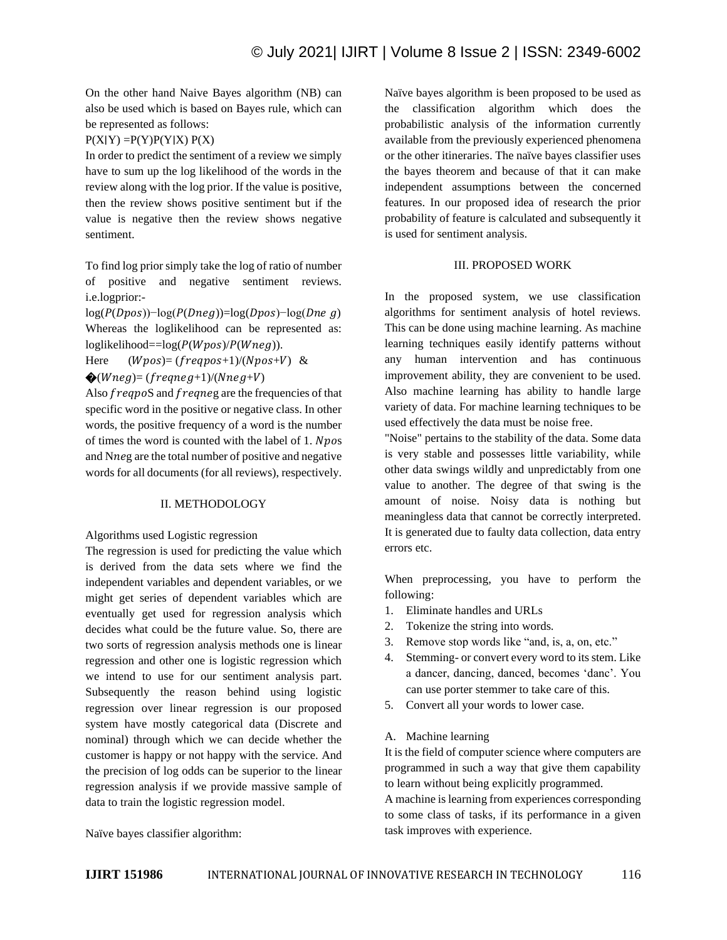On the other hand Naive Bayes algorithm (NB) can also be used which is based on Bayes rule, which can be represented as follows:

## $P(X|Y) = P(Y)P(Y|X) P(X)$

In order to predict the sentiment of a review we simply have to sum up the log likelihood of the words in the review along with the log prior. If the value is positive, then the review shows positive sentiment but if the value is negative then the review shows negative sentiment.

To find log prior simply take the log of ratio of number of positive and negative sentiment reviews. i.e.logprior:-

 $log(P(Dpos))$ <sup>-</sup>log( $P(Dneg))$ =log( $Dpos$ )<sup>-l</sup>og( $Dneg$ ) Whereas the loglikelihood can be represented as:  $loglikelihood = log(P(Wpos)/P(Wneg)).$ 

Here  $(Wpos) = (freqpos+1)/(Npos+V)$  &  $\bigotimes(Wneg) = (frequency+1)/(Nneg+V)$ 

Also *freqpoS* and *freqneg* are the frequencies of that specific word in the positive or negative class. In other words, the positive frequency of a word is the number of times the word is counted with the label of 1.  $Npos$ and Nneg are the total number of positive and negative words for all documents (for all reviews), respectively.

## II. METHODOLOGY

Algorithms used Logistic regression

The regression is used for predicting the value which is derived from the data sets where we find the independent variables and dependent variables, or we might get series of dependent variables which are eventually get used for regression analysis which decides what could be the future value. So, there are two sorts of regression analysis methods one is linear regression and other one is logistic regression which we intend to use for our sentiment analysis part. Subsequently the reason behind using logistic regression over linear regression is our proposed system have mostly categorical data (Discrete and nominal) through which we can decide whether the customer is happy or not happy with the service. And the precision of log odds can be superior to the linear regression analysis if we provide massive sample of data to train the logistic regression model.

Naïve bayes algorithm is been proposed to be used as the classification algorithm which does the probabilistic analysis of the information currently available from the previously experienced phenomena or the other itineraries. The naïve bayes classifier uses the bayes theorem and because of that it can make independent assumptions between the concerned features. In our proposed idea of research the prior probability of feature is calculated and subsequently it is used for sentiment analysis.

## III. PROPOSED WORK

In the proposed system, we use classification algorithms for sentiment analysis of hotel reviews. This can be done using machine learning. As machine learning techniques easily identify patterns without any human intervention and has continuous improvement ability, they are convenient to be used. Also machine learning has ability to handle large variety of data. For machine learning techniques to be used effectively the data must be noise free.

"Noise" pertains to the stability of the data. Some data is very stable and possesses little variability, while other data swings wildly and unpredictably from one value to another. The degree of that swing is the amount of noise. Noisy data is nothing but meaningless data that cannot be correctly interpreted. It is generated due to faulty data collection, data entry errors etc.

When preprocessing, you have to perform the following:

- 1. Eliminate handles and URLs
- 2. Tokenize the string into words.
- 3. Remove stop words like "and, is, a, on, etc."
- 4. Stemming- or convert every word to its stem. Like a dancer, dancing, danced, becomes 'danc'. You can use porter stemmer to take care of this.
- 5. Convert all your words to lower case.
- A. Machine learning

It is the field of computer science where computers are programmed in such a way that give them capability to learn without being explicitly programmed.

A machine is learning from experiences corresponding to some class of tasks, if its performance in a given task improves with experience.

Naïve bayes classifier algorithm: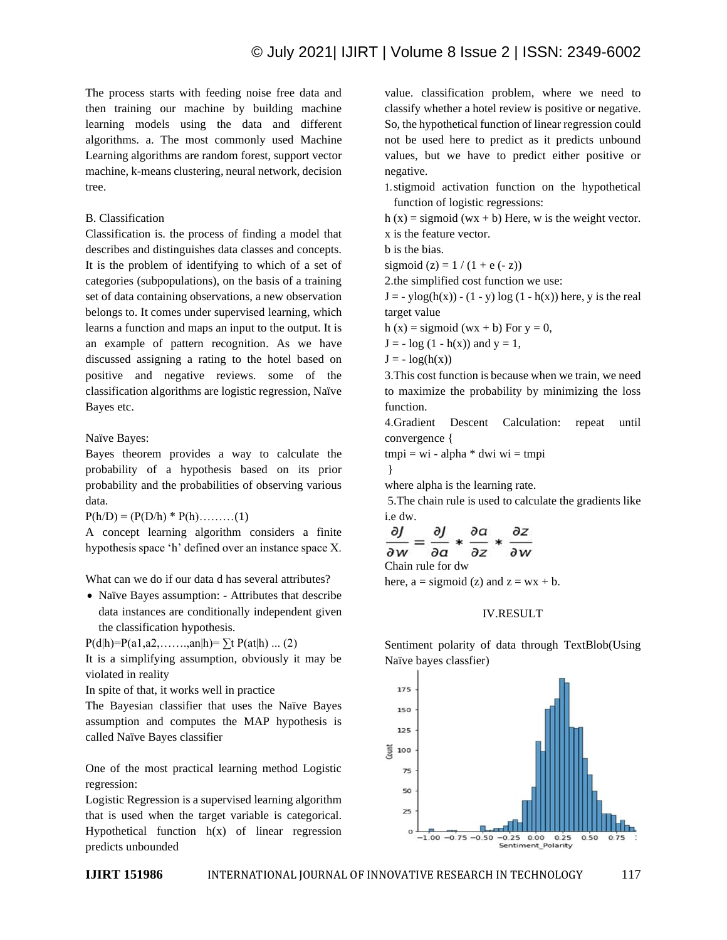The process starts with feeding noise free data and then training our machine by building machine learning models using the data and different algorithms. a. The most commonly used Machine Learning algorithms are random forest, support vector machine, k-means clustering, neural network, decision tree.

## B. Classification

Classification is. the process of finding a model that describes and distinguishes data classes and concepts. It is the problem of identifying to which of a set of categories (subpopulations), on the basis of a training set of data containing observations, a new observation belongs to. It comes under supervised learning, which learns a function and maps an input to the output. It is an example of pattern recognition. As we have discussed assigning a rating to the hotel based on positive and negative reviews. some of the classification algorithms are logistic regression, Naïve Bayes etc.

Naïve Bayes:

Bayes theorem provides a way to calculate the probability of a hypothesis based on its prior probability and the probabilities of observing various data.

 $P(h/D) = (P(D/h) * P(h) \dots (1)$ 

A concept learning algorithm considers a finite hypothesis space 'h' defined over an instance space X.

What can we do if our data d has several attributes?

• Naïve Bayes assumption: - Attributes that describe data instances are conditionally independent given the classification hypothesis.

P(d|h)=P(a1,a2,…….,an|h)=  $\sum t P(at|h) ... (2)$ 

It is a simplifying assumption, obviously it may be violated in reality

In spite of that, it works well in practice

The Bayesian classifier that uses the Naïve Bayes assumption and computes the MAP hypothesis is called Naïve Bayes classifier

One of the most practical learning method Logistic regression:

Logistic Regression is a supervised learning algorithm that is used when the target variable is categorical. Hypothetical function  $h(x)$  of linear regression predicts unbounded

value. classification problem, where we need to classify whether a hotel review is positive or negative. So, the hypothetical function of linear regression could not be used here to predict as it predicts unbound values, but we have to predict either positive or negative.

1.stigmoid activation function on the hypothetical function of logistic regressions:

h (x) = sigmoid (wx + b) Here, w is the weight vector. x is the feature vector.

b is the bias.

sigmoid  $(z) = 1 / (1 + e(-z))$ 

2.the simplified cost function we use:

 $J = -y\log(h(x)) - (1 - y)\log(1 - h(x))$  here, y is the real target value

h (x) = sigmoid (wx + b) For  $y = 0$ ,

 $J = -\log(1 - h(x))$  and  $y = 1$ ,

 $J = -\log(h(x))$ 

3.This cost function is because when we train, we need to maximize the probability by minimizing the loss function.

4.Gradient Descent Calculation: repeat until convergence {

 $tmpi = wi - alpha * dwi wi = tmpi$ 

}

where alpha is the learning rate.

5.The chain rule is used to calculate the gradients like i.e dw.

$$
\frac{\partial J}{\partial w} = \frac{\partial J}{\partial q} * \frac{\partial a}{\partial z} * \frac{\partial z}{\partial w}
$$

Chain rule for dw

here,  $a =$  sigmoid (z) and  $z = wx + b$ .

## IV.RESULT

Sentiment polarity of data through TextBlob(Using Naïve bayes classfier)

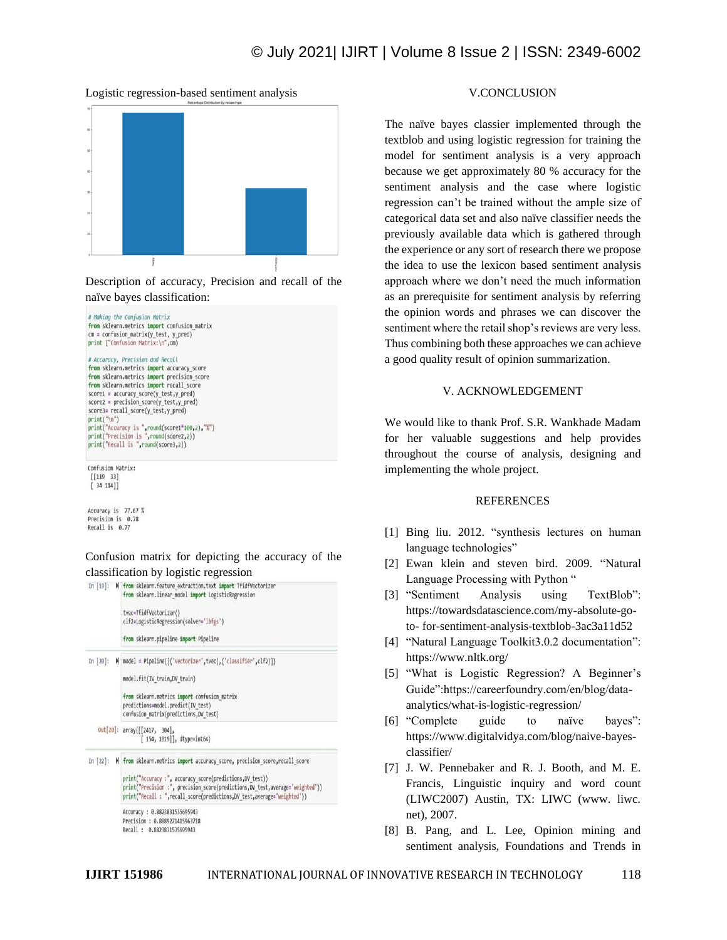## © July 2021| IJIRT | Volume 8 Issue 2 | ISSN: 2349-6002





Description of accuracy, Precision and recall of the naïve bayes classification:



Accuracy is 77.67 % Precision is 0.78 Recall is 0.77

Confusion matrix for depicting the accuracy of the classification by logistic regression



## V.CONCLUSION

The naïve bayes classier implemented through the textblob and using logistic regression for training the model for sentiment analysis is a very approach because we get approximately 80 % accuracy for the sentiment analysis and the case where logistic regression can't be trained without the ample size of categorical data set and also naïve classifier needs the previously available data which is gathered through the experience or any sort of research there we propose the idea to use the lexicon based sentiment analysis approach where we don't need the much information as an prerequisite for sentiment analysis by referring the opinion words and phrases we can discover the sentiment where the retail shop's reviews are very less. Thus combining both these approaches we can achieve a good quality result of opinion summarization.

#### V. ACKNOWLEDGEMENT

We would like to thank Prof. S.R. Wankhade Madam for her valuable suggestions and help provides throughout the course of analysis, designing and implementing the whole project.

#### REFERENCES

- [1] Bing liu. 2012. "synthesis lectures on human language technologies"
- [2] Ewan klein and steven bird. 2009. "Natural Language Processing with Python "
- [3] "Sentiment Analysis using TextBlob": https://towardsdatascience.com/my-absolute-goto- for-sentiment-analysis-textblob-3ac3a11d52
- [4] "Natural Language Toolkit3.0.2 documentation": https://www.nltk.org/
- [5] "What is Logistic Regression? A Beginner's Guide":https://careerfoundry.com/en/blog/dataanalytics/what-is-logistic-regression/
- [6] "Complete guide to naïve bayes": https://www.digitalvidya.com/blog/naive-bayesclassifier/
- [7] J. W. Pennebaker and R. J. Booth, and M. E. Francis, Linguistic inquiry and word count (LIWC2007) Austin, TX: LIWC (www. liwc. net), 2007.
- [8] B. Pang, and L. Lee, Opinion mining and sentiment analysis, Foundations and Trends in